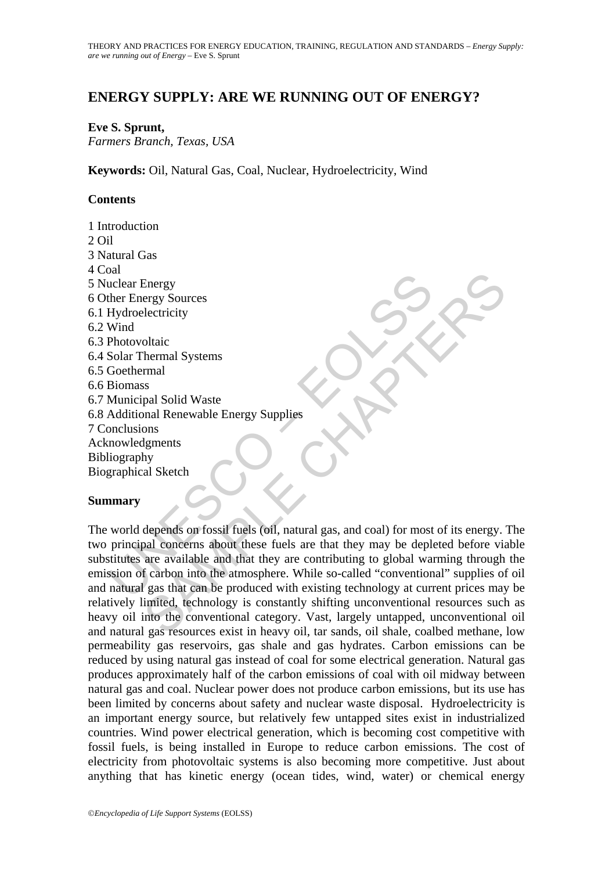# **ENERGY SUPPLY: ARE WE RUNNING OUT OF ENERGY?**

### **Eve S. Sprunt,**

*Farmers Branch, Texas, USA* 

**Keywords:** Oil, Natural Gas, Coal, Nuclear, Hydroelectricity, Wind

### **Contents**

Care Controller<br>
Unclear Energy<br>
Sources<br>
Hydroelectricity<br>
Wind<br>
Photovoltaic<br>
Sochar Thermal Systems<br>
Socharmal Systems<br>
Socharmal Systems<br>
Socharmal<br>
Biomass<br>
Municipal Solid Waste<br>
Additional Renewable Energy Supplies<br> Energy<br>
Sources<br>
electricity<br>
oltaic<br>
hermal Systems<br>
mal<br>
pal Solid Waste<br>
pal Solid Waste<br>
pal Solid Waste<br>
mal Renewable Energy Supplies<br>
ons<br>
any<br>
al Sketch<br>
My<br>
al Sketch<br>
say all Setch<br>
say all Solid Waste<br>
are avail 1 Introduction 2 Oil 3 Natural Gas 4 Coal 5 Nuclear Energy 6 Other Energy Sources 6.1 Hydroelectricity 6.2 Wind 6.3 Photovoltaic 6.4 Solar Thermal Systems 6.5 Goethermal 6.6 Biomass 6.7 Municipal Solid Waste 6.8 Additional Renewable Energy Supplies 7 Conclusions Acknowledgments Bibliography Biographical Sketch

#### **Summary**

The world depends on fossil fuels (oil, natural gas, and coal) for most of its energy. The two principal concerns about these fuels are that they may be depleted before viable substitutes are available and that they are contributing to global warming through the emission of carbon into the atmosphere. While so-called "conventional" supplies of oil and natural gas that can be produced with existing technology at current prices may be relatively limited, technology is constantly shifting unconventional resources such as heavy oil into the conventional category. Vast, largely untapped, unconventional oil and natural gas resources exist in heavy oil, tar sands, oil shale, coalbed methane, low permeability gas reservoirs, gas shale and gas hydrates. Carbon emissions can be reduced by using natural gas instead of coal for some electrical generation. Natural gas produces approximately half of the carbon emissions of coal with oil midway between natural gas and coal. Nuclear power does not produce carbon emissions, but its use has been limited by concerns about safety and nuclear waste disposal. Hydroelectricity is an important energy source, but relatively few untapped sites exist in industrialized countries. Wind power electrical generation, which is becoming cost competitive with fossil fuels, is being installed in Europe to reduce carbon emissions. The cost of electricity from photovoltaic systems is also becoming more competitive. Just about anything that has kinetic energy (ocean tides, wind, water) or chemical energy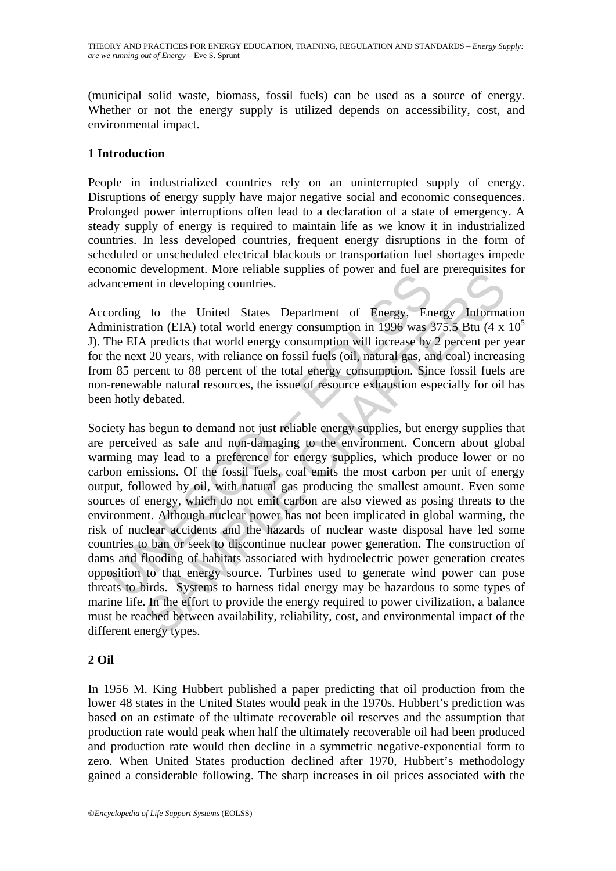(municipal solid waste, biomass, fossil fuels) can be used as a source of energy. Whether or not the energy supply is utilized depends on accessibility, cost, and environmental impact.

# **1 Introduction**

People in industrialized countries rely on an uninterrupted supply of energy. Disruptions of energy supply have major negative social and economic consequences. Prolonged power interruptions often lead to a declaration of a state of emergency. A steady supply of energy is required to maintain life as we know it in industrialized countries. In less developed countries, frequent energy disruptions in the form of scheduled or unscheduled electrical blackouts or transportation fuel shortages impede economic development. More reliable supplies of power and fuel are prerequisites for advancement in developing countries.

According to the United States Department of Energy, Energy Information Administration (EIA) total world energy consumption in 1996 was 375.5 Btu (4 x  $10<sup>5</sup>$ J). The EIA predicts that world energy consumption will increase by 2 percent per year for the next 20 years, with reliance on fossil fuels (oil, natural gas, and coal) increasing from 85 percent to 88 percent of the total energy consumption. Since fossil fuels are non-renewable natural resources, the issue of resource exhaustion especially for oil has been hotly debated.

nome development. The chance supplies of power and fact an<br>ancement in developing countries.<br>
ording to the United States Department of Energy, Enchministration (EIA) total world energy consumption in 1996 was <sup>2</sup><br>
The EIA elevelopment. Wore tendous supplies of power and ruer are perceptrates<br>to the United States Department of Energy, Energy Information (EIA) total world energy consumption in 1996 was 375.5 Btu (4 x<br>A predicts that world ene Society has begun to demand not just reliable energy supplies, but energy supplies that are perceived as safe and non-damaging to the environment. Concern about global warming may lead to a preference for energy supplies, which produce lower or no carbon emissions. Of the fossil fuels, coal emits the most carbon per unit of energy output, followed by oil, with natural gas producing the smallest amount. Even some sources of energy, which do not emit carbon are also viewed as posing threats to the environment. Although nuclear power has not been implicated in global warming, the risk of nuclear accidents and the hazards of nuclear waste disposal have led some countries to ban or seek to discontinue nuclear power generation. The construction of dams and flooding of habitats associated with hydroelectric power generation creates opposition to that energy source. Turbines used to generate wind power can pose threats to birds. Systems to harness tidal energy may be hazardous to some types of marine life. In the effort to provide the energy required to power civilization, a balance must be reached between availability, reliability, cost, and environmental impact of the different energy types.

# **2 Oil**

In 1956 M. King Hubbert published a paper predicting that oil production from the lower 48 states in the United States would peak in the 1970s. Hubbert's prediction was based on an estimate of the ultimate recoverable oil reserves and the assumption that production rate would peak when half the ultimately recoverable oil had been produced and production rate would then decline in a symmetric negative-exponential form to zero. When United States production declined after 1970, Hubbert's methodology gained a considerable following. The sharp increases in oil prices associated with the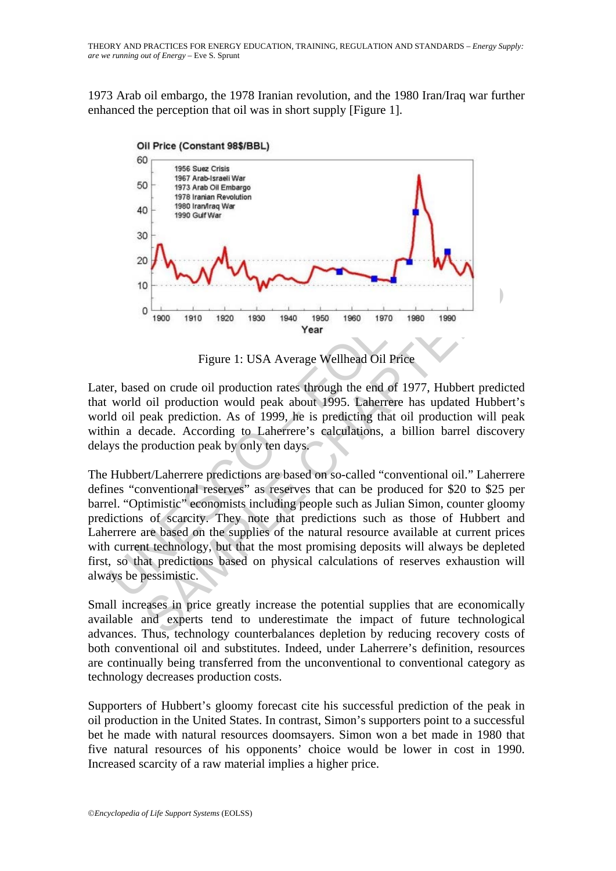1973 Arab oil embargo, the 1978 Iranian revolution, and the 1980 Iran/Iraq war further enhanced the perception that oil was in short supply [Figure 1].



Figure 1: USA Average Wellhead Oil Price

Later, based on crude oil production rates through the end of 1977, Hubbert predicted that world oil production would peak about 1995. Laherrere has updated Hubbert's world oil peak prediction. As of 1999, he is predicting that oil production will peak within a decade. According to Laherrere's calculations, a billion barrel discovery delays the production peak by only ten days.

10<br>
1900 1910 1920 1930 1940 1950 1960 1970 1980<br>
1900 1910 1920 1930 1940 1950 1960 1970 1980<br>
1970 1980<br>
1977, world oil production would peak about 1995. Laherrere has t<br>
1d oil peak prediction. As of 1999, he is predic SAMPLE CHAPTERS The Hubbert/Laherrere predictions are based on so-called "conventional oil." Laherrere defines "conventional reserves" as reserves that can be produced for \$20 to \$25 per barrel. "Optimistic" economists including people such as Julian Simon, counter gloomy predictions of scarcity. They note that predictions such as those of Hubbert and Laherrere are based on the supplies of the natural resource available at current prices with current technology, but that the most promising deposits will always be depleted first, so that predictions based on physical calculations of reserves exhaustion will always be pessimistic.

Small increases in price greatly increase the potential supplies that are economically available and experts tend to underestimate the impact of future technological advances. Thus, technology counterbalances depletion by reducing recovery costs of both conventional oil and substitutes. Indeed, under Laherrere's definition, resources are continually being transferred from the unconventional to conventional category as technology decreases production costs.

Supporters of Hubbert's gloomy forecast cite his successful prediction of the peak in oil production in the United States. In contrast, Simon's supporters point to a successful bet he made with natural resources doomsayers. Simon won a bet made in 1980 that five natural resources of his opponents' choice would be lower in cost in 1990. Increased scarcity of a raw material implies a higher price.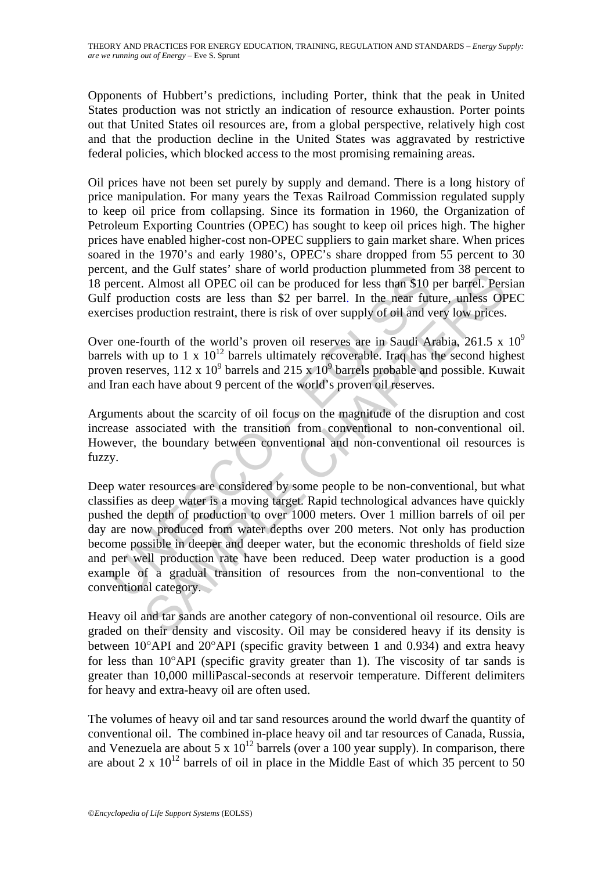Opponents of Hubbert's predictions, including Porter, think that the peak in United States production was not strictly an indication of resource exhaustion. Porter points out that United States oil resources are, from a global perspective, relatively high cost and that the production decline in the United States was aggravated by restrictive federal policies, which blocked access to the most promising remaining areas.

Oil prices have not been set purely by supply and demand. There is a long history of price manipulation. For many years the Texas Railroad Commission regulated supply to keep oil price from collapsing. Since its formation in 1960, the Organization of Petroleum Exporting Countries (OPEC) has sought to keep oil prices high. The higher prices have enabled higher-cost non-OPEC suppliers to gain market share. When prices soared in the 1970's and early 1980's, OPEC's share dropped from 55 percent to 30 percent, and the Gulf states' share of world production plummeted from 38 percent to 18 percent. Almost all OPEC oil can be produced for less than \$10 per barrel. Persian Gulf production costs are less than \$2 per barrel. In the near future, unless OPEC exercises production restraint, there is risk of over supply of oil and very low prices.

Over one-fourth of the world's proven oil reserves are in Saudi Arabia, 261.5 x 10<sup>9</sup> barrels with up to  $1 \times 10^{12}$  barrels ultimately recoverable. Iraq has the second highest proven reserves,  $112 \times 10^9$  barrels and  $215 \times 10^9$  barrels probable and possible. Kuwait and Iran each have about 9 percent of the world's proven oil reserves.

Arguments about the scarcity of oil focus on the magnitude of the disruption and cost increase associated with the transition from conventional to non-conventional oil. However, the boundary between conventional and non-conventional oil resources is fuzzy.

Ent, and not state of work produced for less than S10 percent. Almost all OPEC oil can be produced for less than \$10 f production costs are less than \$2 per barrel. In the near futicises production restraint, there is ris de the coun states state of worth protocouro punimience from so percent<br>at a lemont strain, there is risk of over supply of oil and every bence. But<br>action costs are less than \$2 per barrel. In the near future, unless OF<br> Deep water resources are considered by some people to be non-conventional, but what classifies as deep water is a moving target. Rapid technological advances have quickly pushed the depth of production to over 1000 meters. Over 1 million barrels of oil per day are now produced from water depths over 200 meters. Not only has production become possible in deeper and deeper water, but the economic thresholds of field size and per well production rate have been reduced. Deep water production is a good example of a gradual transition of resources from the non-conventional to the conventional category.

Heavy oil and tar sands are another category of non-conventional oil resource. Oils are graded on their density and viscosity. Oil may be considered heavy if its density is between 10°API and 20°API (specific gravity between 1 and 0.934) and extra heavy for less than 10°API (specific gravity greater than 1). The viscosity of tar sands is greater than 10,000 milliPascal-seconds at reservoir temperature. Different delimiters for heavy and extra-heavy oil are often used.

The volumes of heavy oil and tar sand resources around the world dwarf the quantity of conventional oil. The combined in-place heavy oil and tar resources of Canada, Russia, and Venezuela are about 5 x  $10^{12}$  barrels (over a 100 year supply). In comparison, there are about 2 x  $10^{12}$  barrels of oil in place in the Middle East of which 35 percent to 50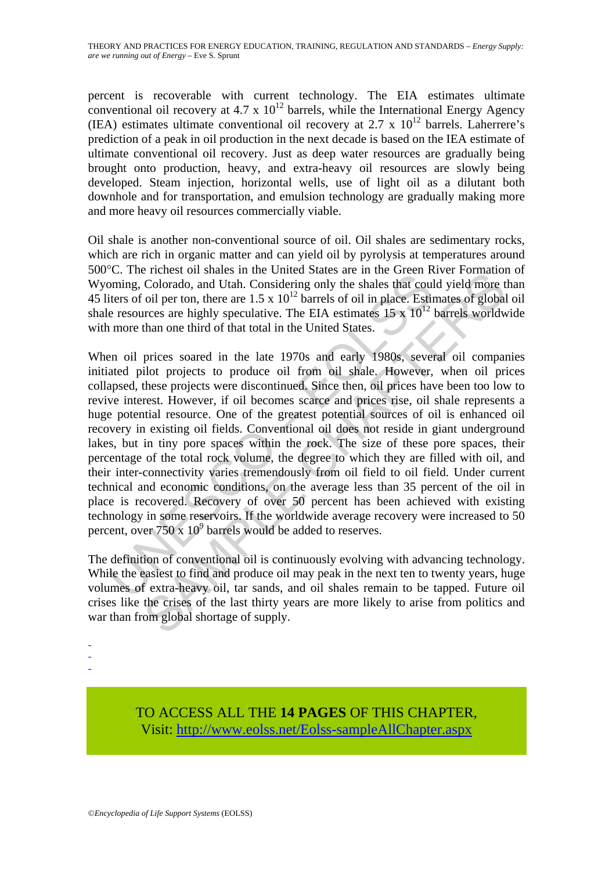percent is recoverable with current technology. The EIA estimates ultimate conventional oil recovery at 4.7 x  $10^{12}$  barrels, while the International Energy Agency (IEA) estimates ultimate conventional oil recovery at 2.7 x  $10^{12}$  barrels. Laherrere's prediction of a peak in oil production in the next decade is based on the IEA estimate of ultimate conventional oil recovery. Just as deep water resources are gradually being brought onto production, heavy, and extra-heavy oil resources are slowly being developed. Steam injection, horizontal wells, use of light oil as a dilutant both downhole and for transportation, and emulsion technology are gradually making more and more heavy oil resources commercially viable.

Oil shale is another non-conventional source of oil. Oil shales are sedimentary rocks, which are rich in organic matter and can yield oil by pyrolysis at temperatures around 500°C. The richest oil shales in the United States are in the Green River Formation of Wyoming, Colorado, and Utah. Considering only the shales that could yield more than 45 liters of oil per ton, there are  $1.5 \times 10^{12}$  barrels of oil in place. Estimates of global oil shale resources are highly speculative. The EIA estimates  $15 \times 10^{12}$  barrels worldwide with more than one third of that total in the United States.

C. The theats of shanes in the United States are in the Octor N<br>oming, Colorado, and Utah. Considering only the shales that could<br>tiers of oil per ton, there are  $1.5 \times 10^{12}$  barrels of oil in place. Estin<br>e resources a relieves on since in the united values are in the create Kiver Fromiano. Colorado, and Utah. Considering only the shales that could yield more to infer too, there are  $1.5 \times 10^{12}$  barrels of in place. Estimates of globa When oil prices soared in the late 1970s and early 1980s, several oil companies initiated pilot projects to produce oil from oil shale. However, when oil prices collapsed, these projects were discontinued. Since then, oil prices have been too low to revive interest. However, if oil becomes scarce and prices rise, oil shale represents a huge potential resource. One of the greatest potential sources of oil is enhanced oil recovery in existing oil fields. Conventional oil does not reside in giant underground lakes, but in tiny pore spaces within the rock. The size of these pore spaces, their percentage of the total rock volume, the degree to which they are filled with oil, and their inter-connectivity varies tremendously from oil field to oil field. Under current technical and economic conditions, on the average less than 35 percent of the oil in place is recovered. Recovery of over 50 percent has been achieved with existing technology in some reservoirs. If the worldwide average recovery were increased to 50 percent, over  $750 \times 10^9$  barrels would be added to reserves.

The definition of conventional oil is continuously evolving with advancing technology. While the easiest to find and produce oil may peak in the next ten to twenty years, huge volumes of extra-heavy oil, tar sands, and oil shales remain to be tapped. Future oil crises like the crises of the last thirty years are more likely to arise from politics and war than from global shortage of supply.

-

- -

> TO ACCESS ALL THE **14 PAGES** OF THIS CHAPTER, Visit[: http://www.eolss.net/Eolss-sampleAllChapter.aspx](https://www.eolss.net/ebooklib/sc_cart.aspx?File=E3-03-17)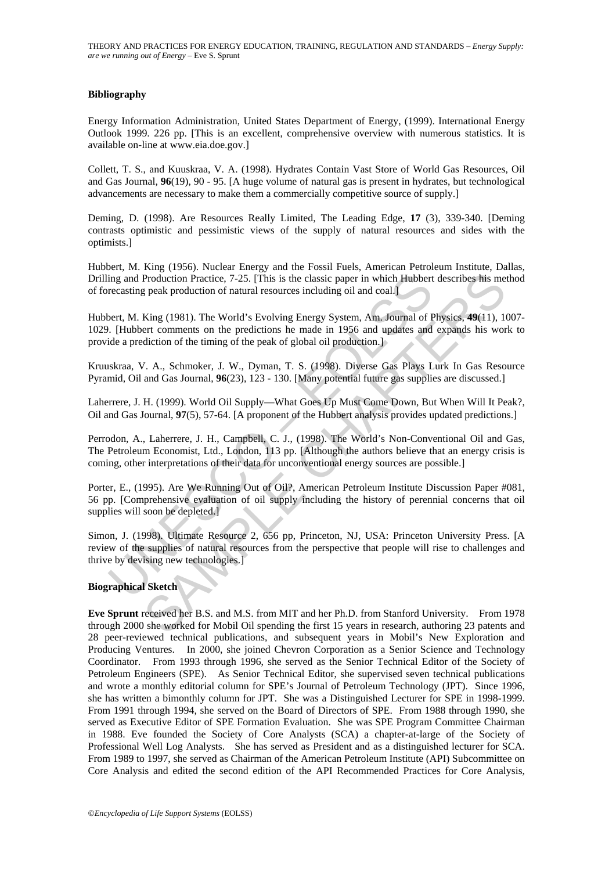#### **Bibliography**

Energy Information Administration, United States Department of Energy, (1999). International Energy Outlook 1999. 226 pp. [This is an excellent, comprehensive overview with numerous statistics. It is available on-line at www.eia.doe.gov.]

Collett, T. S., and Kuuskraa, V. A. (1998). Hydrates Contain Vast Store of World Gas Resources, Oil and Gas Journal, **96**(19), 90 - 95. [A huge volume of natural gas is present in hydrates, but technological advancements are necessary to make them a commercially competitive source of supply.]

Deming, D. (1998). Are Resources Really Limited, The Leading Edge, **17** (3), 339-340. [Deming contrasts optimistic and pessimistic views of the supply of natural resources and sides with the optimists.]

Hubbert, M. King (1956). Nuclear Energy and the Fossil Fuels, American Petroleum Institute, Dallas, Drilling and Production Practice, 7-25. [This is the classic paper in which Hubbert describes his method of forecasting peak production of natural resources including oil and coal.]

Hubbert, M. King (1981). The World's Evolving Energy System, Am. Journal of Physics, **49**(11), 1007- 1029. [Hubbert comments on the predictions he made in 1956 and updates and expands his work to provide a prediction of the timing of the peak of global oil production.]

Kruuskraa, V. A., Schmoker, J. W., Dyman, T. S. (1998). Diverse Gas Plays Lurk In Gas Resource Pyramid, Oil and Gas Journal, **96**(23), 123 - 130. [Many potential future gas supplies are discussed.]

Laherrere, J. H. (1999). World Oil Supply—What Goes Up Must Come Down, But When Will It Peak?, Oil and Gas Journal, **97**(5), 57-64. [A proponent of the Hubbert analysis provides updated predictions.]

Perrodon, A., Laherrere, J. H., Campbell, C. J., (1998). The World's Non-Conventional Oil and Gas, The Petroleum Economist, Ltd., London, 113 pp. [Although the authors believe that an energy crisis is coming, other interpretations of their data for unconventional energy sources are possible.]

Porter, E., (1995). Are We Running Out of Oil?, American Petroleum Institute Discussion Paper #081, 56 pp. [Comprehensive evaluation of oil supply including the history of perennial concerns that oil supplies will soon be depleted.]

ing and Production Practice, 7-25. [This is the classic paper in which Hubbert<br>recasting peak production of natural resources including oil and coal.]<br>Dert, M. King (1981). The World's Evolving Energy System, Am. Journal o Production Practice, 7-25. [This is the classic paper in which Hubbert describes his me<br>
preak production of natural resources including oil and coal.]<br>
King (1981). The World's Evolving Energy System, Am. Journal of Phys Simon, J. (1998). Ultimate Resource 2, 656 pp, Princeton, NJ, USA: Princeton University Press. [A review of the supplies of natural resources from the perspective that people will rise to challenges and thrive by devising new technologies.]

#### **Biographical Sketch**

**Eve Sprunt** received her B.S. and M.S. from MIT and her Ph.D. from Stanford University. From 1978 through 2000 she worked for Mobil Oil spending the first 15 years in research, authoring 23 patents and 28 peer-reviewed technical publications, and subsequent years in Mobil's New Exploration and Producing Ventures. In 2000, she joined Chevron Corporation as a Senior Science and Technology Coordinator. From 1993 through 1996, she served as the Senior Technical Editor of the Society of Petroleum Engineers (SPE). As Senior Technical Editor, she supervised seven technical publications and wrote a monthly editorial column for SPE's Journal of Petroleum Technology (JPT). Since 1996, she has written a bimonthly column for JPT. She was a Distinguished Lecturer for SPE in 1998-1999. From 1991 through 1994, she served on the Board of Directors of SPE. From 1988 through 1990, she served as Executive Editor of SPE Formation Evaluation. She was SPE Program Committee Chairman in 1988. Eve founded the Society of Core Analysts (SCA) a chapter-at-large of the Society of Professional Well Log Analysts. She has served as President and as a distinguished lecturer for SCA. From 1989 to 1997, she served as Chairman of the American Petroleum Institute (API) Subcommittee on Core Analysis and edited the second edition of the API Recommended Practices for Core Analysis,